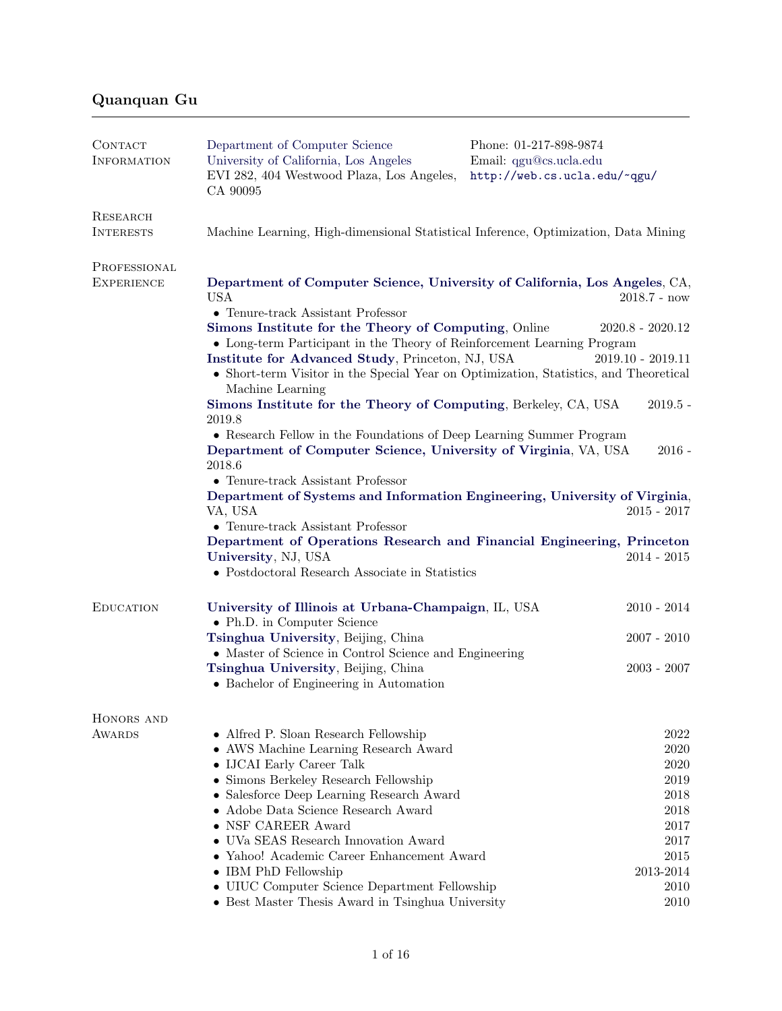## Quanquan Gu

| CONTACT<br><b>INFORMATION</b>                                                                   | Department of Computer Science<br>University of California, Los Angeles<br>EVI 282, 404 Westwood Plaza, Los Angeles,<br>CA 90095                                                                                                                                                                                                                                                                                 | Phone: 01-217-898-9874<br>Email: qgu@cs.ucla.edu<br>http://web.cs.ucla.edu/~qgu/ |  |                  |                                                                                                                                                                                        |               |
|-------------------------------------------------------------------------------------------------|------------------------------------------------------------------------------------------------------------------------------------------------------------------------------------------------------------------------------------------------------------------------------------------------------------------------------------------------------------------------------------------------------------------|----------------------------------------------------------------------------------|--|------------------|----------------------------------------------------------------------------------------------------------------------------------------------------------------------------------------|---------------|
| RESEARCH<br><b>INTERESTS</b>                                                                    | Machine Learning, High-dimensional Statistical Inference, Optimization, Data Mining                                                                                                                                                                                                                                                                                                                              |                                                                                  |  |                  |                                                                                                                                                                                        |               |
| PROFESSIONAL<br><b>EXPERIENCE</b>                                                               | Department of Computer Science, University of California, Los Angeles, CA,<br><b>USA</b><br>$2018.7 - now$                                                                                                                                                                                                                                                                                                       |                                                                                  |  |                  |                                                                                                                                                                                        |               |
|                                                                                                 | $\bullet$ Tenure-track Assistant Professor<br>Simons Institute for the Theory of Computing, Online<br>• Long-term Participant in the Theory of Reinforcement Learning Program<br>Institute for Advanced Study, Princeton, NJ, USA<br>• Short-term Visitor in the Special Year on Optimization, Statistics, and Theoretical<br>Machine Learning                                                                   | $2020.8 - 2020.12$<br>$2019.10 - 2019.11$                                        |  |                  |                                                                                                                                                                                        |               |
|                                                                                                 | $2019.5 -$<br>Simons Institute for the Theory of Computing, Berkeley, CA, USA<br>2019.8<br>• Research Fellow in the Foundations of Deep Learning Summer Program<br>Department of Computer Science, University of Virginia, VA, USA<br>$2016 -$<br>2018.6<br>$\bullet$ Tenure-track Assistant Professor<br>Department of Systems and Information Engineering, University of Virginia,<br>VA, USA<br>$2015 - 2017$ |                                                                                  |  |                  |                                                                                                                                                                                        |               |
|                                                                                                 |                                                                                                                                                                                                                                                                                                                                                                                                                  |                                                                                  |  |                  | • Tenure-track Assistant Professor<br>Department of Operations Research and Financial Engineering, Princeton<br>University, NJ, USA<br>• Postdoctoral Research Associate in Statistics | $2014 - 2015$ |
|                                                                                                 |                                                                                                                                                                                                                                                                                                                                                                                                                  |                                                                                  |  | <b>EDUCATION</b> | University of Illinois at Urbana-Champaign, IL, USA<br>$2010 - 2014$<br>• Ph.D. in Computer Science                                                                                    |               |
| Tsinghua University, Beijing, China<br>• Master of Science in Control Science and Engineering   | $2007 - 2010$                                                                                                                                                                                                                                                                                                                                                                                                    |                                                                                  |  |                  |                                                                                                                                                                                        |               |
| Tsinghua University, Beijing, China<br>$2003 - 2007$<br>• Bachelor of Engineering in Automation |                                                                                                                                                                                                                                                                                                                                                                                                                  |                                                                                  |  |                  |                                                                                                                                                                                        |               |
| HONORS AND                                                                                      |                                                                                                                                                                                                                                                                                                                                                                                                                  |                                                                                  |  |                  |                                                                                                                                                                                        |               |
| <b>AWARDS</b>                                                                                   | • Alfred P. Sloan Research Fellowship<br>• AWS Machine Learning Research Award<br>• IJCAI Early Career Talk                                                                                                                                                                                                                                                                                                      | 2022<br>2020<br>2020                                                             |  |                  |                                                                                                                                                                                        |               |
|                                                                                                 | • Simons Berkeley Research Fellowship<br>$\,2019\,$<br>• Salesforce Deep Learning Research Award<br>2018<br>• Adobe Data Science Research Award<br>$2018\,$                                                                                                                                                                                                                                                      |                                                                                  |  |                  |                                                                                                                                                                                        |               |
|                                                                                                 | • NSF CAREER Award<br>2017<br>• UVa SEAS Research Innovation Award<br>2017<br>• Yahoo! Academic Career Enhancement Award<br>2015                                                                                                                                                                                                                                                                                 |                                                                                  |  |                  |                                                                                                                                                                                        |               |
|                                                                                                 | • IBM PhD Fellowship<br>2013-2014<br>• UIUC Computer Science Department Fellowship<br>2010<br>• Best Master Thesis Award in Tsinghua University<br>2010                                                                                                                                                                                                                                                          |                                                                                  |  |                  |                                                                                                                                                                                        |               |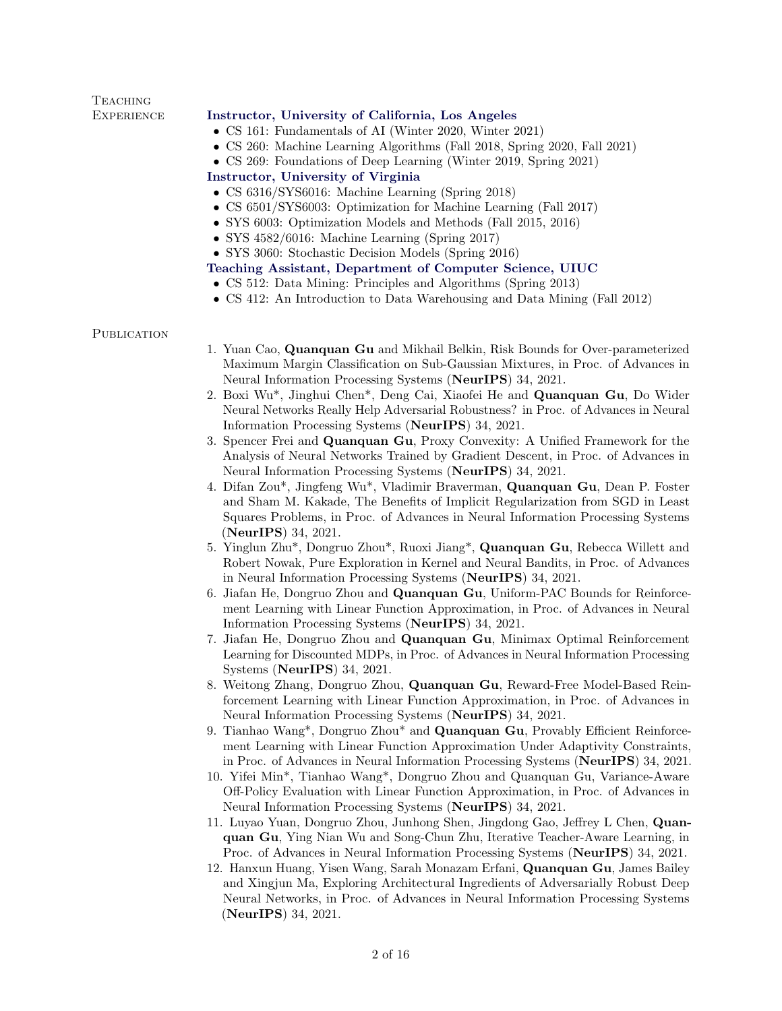| <b>EXPERIENCE</b>  | Instructor, University of California, Los Angeles<br>• CS 161: Fundamentals of AI (Winter 2020, Winter 2021)<br>• CS 260: Machine Learning Algorithms (Fall 2018, Spring 2020, Fall 2021)<br>• CS 269: Foundations of Deep Learning (Winter 2019, Spring 2021)<br>Instructor, University of Virginia<br>• CS 6316/SYS6016: Machine Learning (Spring 2018)<br>• CS 6501/SYS6003: Optimization for Machine Learning (Fall 2017)<br>• SYS 6003: Optimization Models and Methods (Fall 2015, 2016)<br>• SYS $4582/6016$ : Machine Learning (Spring 2017)<br>• SYS 3060: Stochastic Decision Models (Spring 2016)<br>Teaching Assistant, Department of Computer Science, UIUC<br>• CS 512: Data Mining: Principles and Algorithms (Spring 2013)<br>• CS 412: An Introduction to Data Warehousing and Data Mining (Fall 2012)                                                                                                                                                                                                                                                                                                                                                                                                                                                                                                                                                                                                                                                                                                                                                                                                                                                       |
|--------------------|-------------------------------------------------------------------------------------------------------------------------------------------------------------------------------------------------------------------------------------------------------------------------------------------------------------------------------------------------------------------------------------------------------------------------------------------------------------------------------------------------------------------------------------------------------------------------------------------------------------------------------------------------------------------------------------------------------------------------------------------------------------------------------------------------------------------------------------------------------------------------------------------------------------------------------------------------------------------------------------------------------------------------------------------------------------------------------------------------------------------------------------------------------------------------------------------------------------------------------------------------------------------------------------------------------------------------------------------------------------------------------------------------------------------------------------------------------------------------------------------------------------------------------------------------------------------------------------------------------------------------------------------------------------------------------|
| <b>PUBLICATION</b> | 1. Yuan Cao, Quanquan Gu and Mikhail Belkin, Risk Bounds for Over-parameterized<br>Maximum Margin Classification on Sub-Gaussian Mixtures, in Proc. of Advances in<br>Neural Information Processing Systems (NeurIPS) 34, 2021.<br>2. Boxi Wu <sup>*</sup> , Jinghui Chen <sup>*</sup> , Deng Cai, Xiaofei He and <b>Quanquan Gu</b> , Do Wider<br>Neural Networks Really Help Adversarial Robustness? in Proc. of Advances in Neural<br>Information Processing Systems (NeurIPS) 34, 2021.<br>3. Spencer Frei and Quanquan Gu, Proxy Convexity: A Unified Framework for the<br>Analysis of Neural Networks Trained by Gradient Descent, in Proc. of Advances in<br>Neural Information Processing Systems (NeurIPS) 34, 2021.<br>4. Difan Zou*, Jingfeng Wu*, Vladimir Braverman, Quanquan Gu, Dean P. Foster<br>and Sham M. Kakade, The Benefits of Implicit Regularization from SGD in Least<br>Squares Problems, in Proc. of Advances in Neural Information Processing Systems<br>(NeurIPS) 34, 2021.<br>5. Yinglun Zhu*, Dongruo Zhou*, Ruoxi Jiang*, Quanquan Gu, Rebecca Willett and<br>Robert Nowak, Pure Exploration in Kernel and Neural Bandits, in Proc. of Advances<br>in Neural Information Processing Systems (NeurIPS) 34, 2021.<br>6. Jiafan He, Dongruo Zhou and Quanquan Gu, Uniform-PAC Bounds for Reinforce-<br>ment Learning with Linear Function Approximation, in Proc. of Advances in Neural<br>Information Processing Systems (NeurIPS) 34, 2021.<br>7. Jiafan He, Dongruo Zhou and Quanquan Gu, Minimax Optimal Reinforcement<br>Learning for Discounted MDPs, in Proc. of Advances in Neural Information Processing<br>Systems (NeurIPS) 34, 2021. |
|                    | $\Omega$ With $\Omega$ $\Omega$ and $\Omega$ and $\Omega$ and $\Omega$ are the $\Omega$ and $\Omega$ and $\Omega$ $\Omega$ and $\Omega$ $\Omega$ and $\Omega$                                                                                                                                                                                                                                                                                                                                                                                                                                                                                                                                                                                                                                                                                                                                                                                                                                                                                                                                                                                                                                                                                                                                                                                                                                                                                                                                                                                                                                                                                                                 |

**TEACHING** 

- 8. Weitong Zhang, Dongruo Zhou, Quanquan Gu, Reward-Free Model-Based Reinforcement Learning with Linear Function Approximation, in Proc. of Advances in Neural Information Processing Systems (NeurIPS) 34, 2021.
- 9. Tianhao Wang\*, Dongruo Zhou\* and Quanquan Gu, Provably Efficient Reinforcement Learning with Linear Function Approximation Under Adaptivity Constraints, in Proc. of Advances in Neural Information Processing Systems (NeurIPS) 34, 2021.
- 10. Yifei Min\*, Tianhao Wang\*, Dongruo Zhou and Quanquan Gu, Variance-Aware Off-Policy Evaluation with Linear Function Approximation, in Proc. of Advances in Neural Information Processing Systems (NeurIPS) 34, 2021.
- 11. Luyao Yuan, Dongruo Zhou, Junhong Shen, Jingdong Gao, Jeffrey L Chen, Quanquan Gu, Ying Nian Wu and Song-Chun Zhu, Iterative Teacher-Aware Learning, in Proc. of Advances in Neural Information Processing Systems (NeurIPS) 34, 2021.
- 12. Hanxun Huang, Yisen Wang, Sarah Monazam Erfani, Quanquan Gu, James Bailey and Xingjun Ma, Exploring Architectural Ingredients of Adversarially Robust Deep Neural Networks, in Proc. of Advances in Neural Information Processing Systems (NeurIPS) 34, 2021.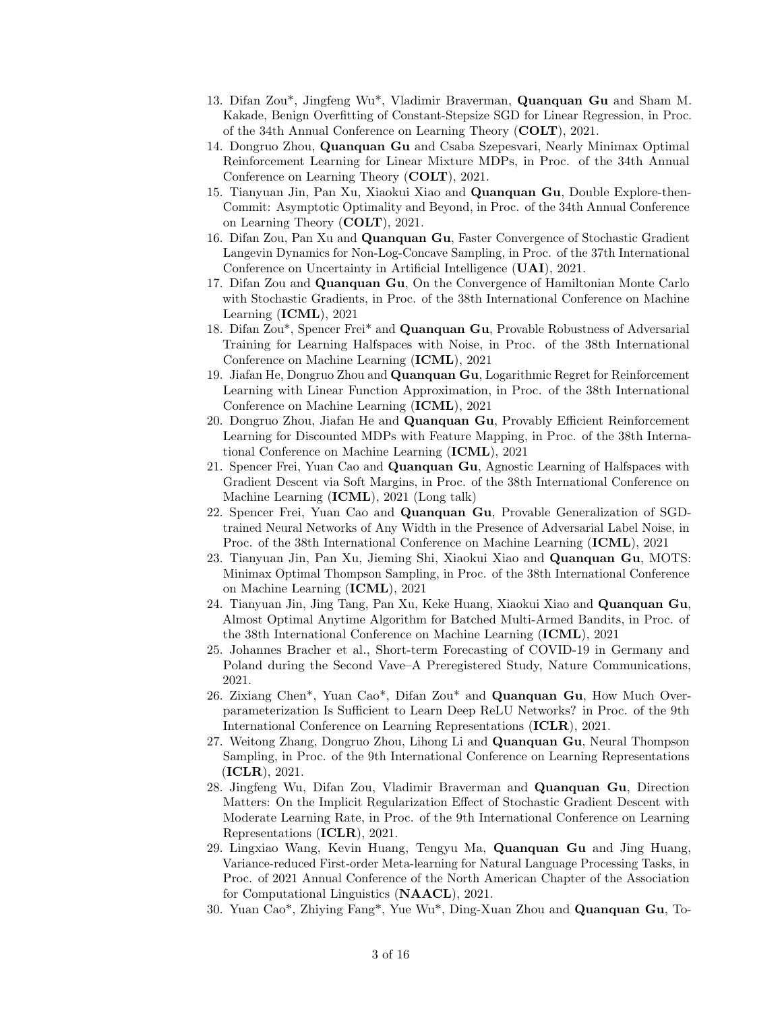- 13. Difan Zou\*, Jingfeng Wu\*, Vladimir Braverman, Quanquan Gu and Sham M. Kakade, Benign Overfitting of Constant-Stepsize SGD for Linear Regression, in Proc. of the 34th Annual Conference on Learning Theory (COLT), 2021.
- 14. Dongruo Zhou, Quanquan Gu and Csaba Szepesvari, Nearly Minimax Optimal Reinforcement Learning for Linear Mixture MDPs, in Proc. of the 34th Annual Conference on Learning Theory (COLT), 2021.
- 15. Tianyuan Jin, Pan Xu, Xiaokui Xiao and Quanquan Gu, Double Explore-then-Commit: Asymptotic Optimality and Beyond, in Proc. of the 34th Annual Conference on Learning Theory (COLT), 2021.
- 16. Difan Zou, Pan Xu and Quanquan Gu, Faster Convergence of Stochastic Gradient Langevin Dynamics for Non-Log-Concave Sampling, in Proc. of the 37th International Conference on Uncertainty in Artificial Intelligence (UAI), 2021.
- 17. Difan Zou and Quanquan Gu, On the Convergence of Hamiltonian Monte Carlo with Stochastic Gradients, in Proc. of the 38th International Conference on Machine Learning (ICML), 2021
- 18. Difan Zou<sup>\*</sup>, Spencer Frei<sup>\*</sup> and **Quanquan Gu**, Provable Robustness of Adversarial Training for Learning Halfspaces with Noise, in Proc. of the 38th International Conference on Machine Learning (ICML), 2021
- 19. Jiafan He, Dongruo Zhou and Quanquan Gu, Logarithmic Regret for Reinforcement Learning with Linear Function Approximation, in Proc. of the 38th International Conference on Machine Learning (ICML), 2021
- 20. Dongruo Zhou, Jiafan He and Quanquan Gu, Provably Efficient Reinforcement Learning for Discounted MDPs with Feature Mapping, in Proc. of the 38th International Conference on Machine Learning (ICML), 2021
- 21. Spencer Frei, Yuan Cao and Quanquan Gu, Agnostic Learning of Halfspaces with Gradient Descent via Soft Margins, in Proc. of the 38th International Conference on Machine Learning (ICML), 2021 (Long talk)
- 22. Spencer Frei, Yuan Cao and Quanquan Gu, Provable Generalization of SGDtrained Neural Networks of Any Width in the Presence of Adversarial Label Noise, in Proc. of the 38th International Conference on Machine Learning (ICML), 2021
- 23. Tianyuan Jin, Pan Xu, Jieming Shi, Xiaokui Xiao and Quanquan Gu, MOTS: Minimax Optimal Thompson Sampling, in Proc. of the 38th International Conference on Machine Learning (ICML), 2021
- 24. Tianyuan Jin, Jing Tang, Pan Xu, Keke Huang, Xiaokui Xiao and Quanquan Gu, Almost Optimal Anytime Algorithm for Batched Multi-Armed Bandits, in Proc. of the 38th International Conference on Machine Learning (ICML), 2021
- 25. Johannes Bracher et al., Short-term Forecasting of COVID-19 in Germany and Poland during the Second Vave–A Preregistered Study, Nature Communications, 2021.
- 26. Zixiang Chen\*, Yuan Cao\*, Difan Zou\* and Quanquan Gu, How Much Overparameterization Is Sufficient to Learn Deep ReLU Networks? in Proc. of the 9th International Conference on Learning Representations (ICLR), 2021.
- 27. Weitong Zhang, Dongruo Zhou, Lihong Li and Quanquan Gu, Neural Thompson Sampling, in Proc. of the 9th International Conference on Learning Representations (ICLR), 2021.
- 28. Jingfeng Wu, Difan Zou, Vladimir Braverman and Quanquan Gu, Direction Matters: On the Implicit Regularization Effect of Stochastic Gradient Descent with Moderate Learning Rate, in Proc. of the 9th International Conference on Learning Representations (ICLR), 2021.
- 29. Lingxiao Wang, Kevin Huang, Tengyu Ma, Quanquan Gu and Jing Huang, Variance-reduced First-order Meta-learning for Natural Language Processing Tasks, in Proc. of 2021 Annual Conference of the North American Chapter of the Association for Computational Linguistics (NAACL), 2021.
- 30. Yuan Cao\*, Zhiying Fang\*, Yue Wu\*, Ding-Xuan Zhou and Quanquan Gu, To-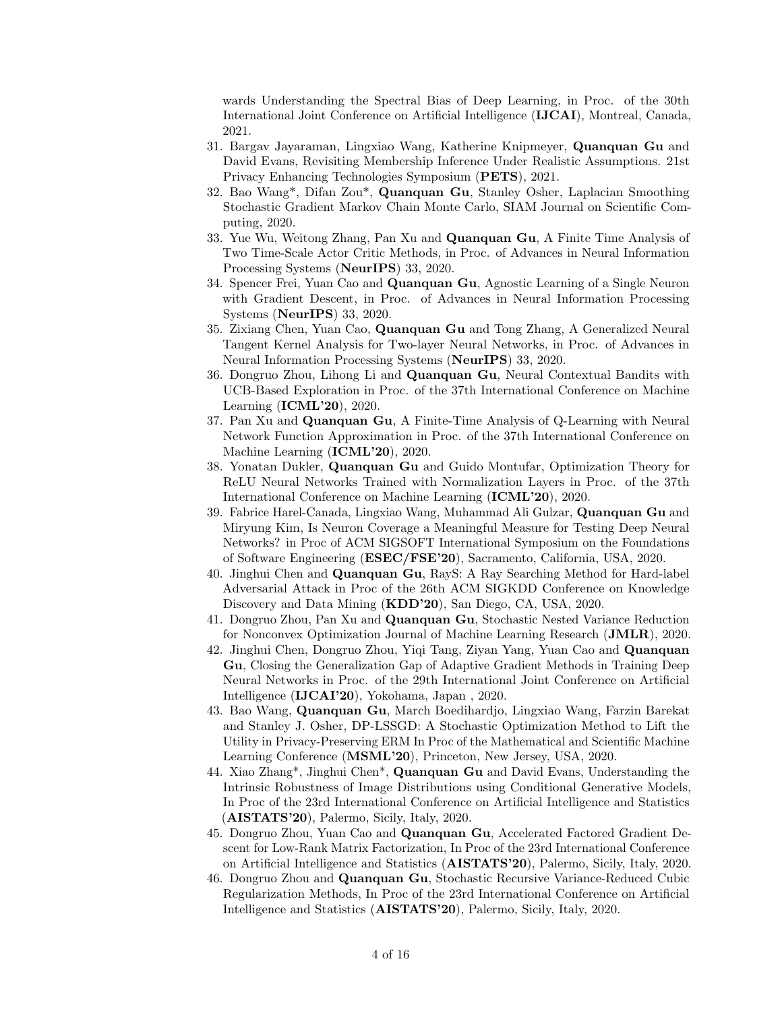wards Understanding the Spectral Bias of Deep Learning, in Proc. of the 30th International Joint Conference on Artificial Intelligence (IJCAI), Montreal, Canada, 2021.

- 31. Bargav Jayaraman, Lingxiao Wang, Katherine Knipmeyer, Quanquan Gu and David Evans, Revisiting Membership Inference Under Realistic Assumptions. 21st Privacy Enhancing Technologies Symposium (PETS), 2021.
- 32. Bao Wang\*, Difan Zou\*, Quanquan Gu, Stanley Osher, Laplacian Smoothing Stochastic Gradient Markov Chain Monte Carlo, SIAM Journal on Scientific Computing, 2020.
- 33. Yue Wu, Weitong Zhang, Pan Xu and Quanquan Gu, A Finite Time Analysis of Two Time-Scale Actor Critic Methods, in Proc. of Advances in Neural Information Processing Systems (NeurIPS) 33, 2020.
- 34. Spencer Frei, Yuan Cao and Quanquan Gu, Agnostic Learning of a Single Neuron with Gradient Descent, in Proc. of Advances in Neural Information Processing Systems (NeurIPS) 33, 2020.
- 35. Zixiang Chen, Yuan Cao, Quanquan Gu and Tong Zhang, A Generalized Neural Tangent Kernel Analysis for Two-layer Neural Networks, in Proc. of Advances in Neural Information Processing Systems (NeurIPS) 33, 2020.
- 36. Dongruo Zhou, Lihong Li and Quanquan Gu, Neural Contextual Bandits with UCB-Based Exploration in Proc. of the 37th International Conference on Machine Learning (ICML'20), 2020.
- 37. Pan Xu and Quanquan Gu, A Finite-Time Analysis of Q-Learning with Neural Network Function Approximation in Proc. of the 37th International Conference on Machine Learning (ICML'20), 2020.
- 38. Yonatan Dukler, Quanquan Gu and Guido Montufar, Optimization Theory for ReLU Neural Networks Trained with Normalization Layers in Proc. of the 37th International Conference on Machine Learning (ICML'20), 2020.
- 39. Fabrice Harel-Canada, Lingxiao Wang, Muhammad Ali Gulzar, Quanquan Gu and Miryung Kim, Is Neuron Coverage a Meaningful Measure for Testing Deep Neural Networks? in Proc of ACM SIGSOFT International Symposium on the Foundations of Software Engineering (ESEC/FSE'20), Sacramento, California, USA, 2020.
- 40. Jinghui Chen and Quanquan Gu, RayS: A Ray Searching Method for Hard-label Adversarial Attack in Proc of the 26th ACM SIGKDD Conference on Knowledge Discovery and Data Mining (KDD'20), San Diego, CA, USA, 2020.
- 41. Dongruo Zhou, Pan Xu and Quanquan Gu, Stochastic Nested Variance Reduction for Nonconvex Optimization Journal of Machine Learning Research (JMLR), 2020.
- 42. Jinghui Chen, Dongruo Zhou, Yiqi Tang, Ziyan Yang, Yuan Cao and Quanquan Gu, Closing the Generalization Gap of Adaptive Gradient Methods in Training Deep Neural Networks in Proc. of the 29th International Joint Conference on Artificial Intelligence (IJCAI'20), Yokohama, Japan , 2020.
- 43. Bao Wang, Quanquan Gu, March Boedihardjo, Lingxiao Wang, Farzin Barekat and Stanley J. Osher, DP-LSSGD: A Stochastic Optimization Method to Lift the Utility in Privacy-Preserving ERM In Proc of the Mathematical and Scientific Machine Learning Conference (MSML'20), Princeton, New Jersey, USA, 2020.
- 44. Xiao Zhang\*, Jinghui Chen\*, Quanquan Gu and David Evans, Understanding the Intrinsic Robustness of Image Distributions using Conditional Generative Models, In Proc of the 23rd International Conference on Artificial Intelligence and Statistics (AISTATS'20), Palermo, Sicily, Italy, 2020.
- 45. Dongruo Zhou, Yuan Cao and Quanquan Gu, Accelerated Factored Gradient Descent for Low-Rank Matrix Factorization, In Proc of the 23rd International Conference on Artificial Intelligence and Statistics (AISTATS'20), Palermo, Sicily, Italy, 2020.
- 46. Dongruo Zhou and Quanquan Gu, Stochastic Recursive Variance-Reduced Cubic Regularization Methods, In Proc of the 23rd International Conference on Artificial Intelligence and Statistics (AISTATS'20), Palermo, Sicily, Italy, 2020.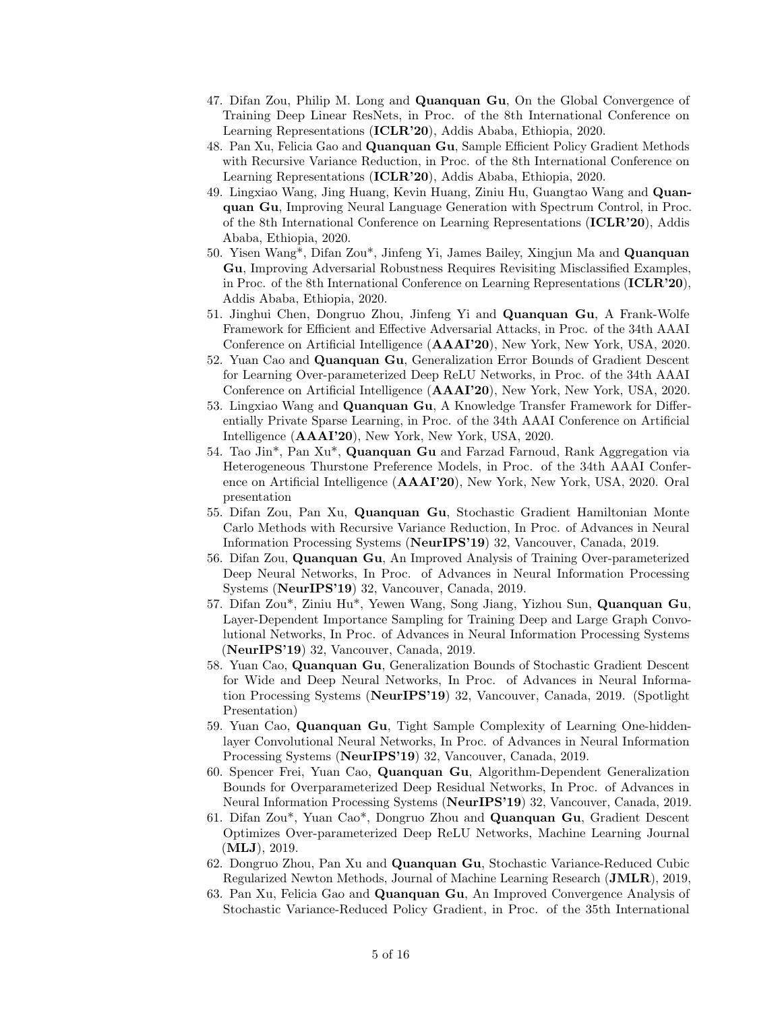- 47. Difan Zou, Philip M. Long and Quanquan Gu, On the Global Convergence of Training Deep Linear ResNets, in Proc. of the 8th International Conference on Learning Representations (ICLR'20), Addis Ababa, Ethiopia, 2020.
- 48. Pan Xu, Felicia Gao and Quanquan Gu, Sample Efficient Policy Gradient Methods with Recursive Variance Reduction, in Proc. of the 8th International Conference on Learning Representations (ICLR'20), Addis Ababa, Ethiopia, 2020.
- 49. Lingxiao Wang, Jing Huang, Kevin Huang, Ziniu Hu, Guangtao Wang and Quanquan Gu, Improving Neural Language Generation with Spectrum Control, in Proc. of the 8th International Conference on Learning Representations (ICLR'20), Addis Ababa, Ethiopia, 2020.
- 50. Yisen Wang\*, Difan Zou\*, Jinfeng Yi, James Bailey, Xingjun Ma and Quanquan Gu, Improving Adversarial Robustness Requires Revisiting Misclassified Examples, in Proc. of the 8th International Conference on Learning Representations (ICLR'20), Addis Ababa, Ethiopia, 2020.
- 51. Jinghui Chen, Dongruo Zhou, Jinfeng Yi and Quanquan Gu, A Frank-Wolfe Framework for Efficient and Effective Adversarial Attacks, in Proc. of the 34th AAAI Conference on Artificial Intelligence (AAAI'20), New York, New York, USA, 2020.
- 52. Yuan Cao and Quanquan Gu, Generalization Error Bounds of Gradient Descent for Learning Over-parameterized Deep ReLU Networks, in Proc. of the 34th AAAI Conference on Artificial Intelligence (AAAI'20), New York, New York, USA, 2020.
- 53. Lingxiao Wang and Quanquan Gu, A Knowledge Transfer Framework for Differentially Private Sparse Learning, in Proc. of the 34th AAAI Conference on Artificial Intelligence (AAAI'20), New York, New York, USA, 2020.
- 54. Tao Jin\*, Pan Xu\*, Quanquan Gu and Farzad Farnoud, Rank Aggregation via Heterogeneous Thurstone Preference Models, in Proc. of the 34th AAAI Conference on Artificial Intelligence (AAAI'20), New York, New York, USA, 2020. Oral presentation
- 55. Difan Zou, Pan Xu, Quanquan Gu, Stochastic Gradient Hamiltonian Monte Carlo Methods with Recursive Variance Reduction, In Proc. of Advances in Neural Information Processing Systems (NeurIPS'19) 32, Vancouver, Canada, 2019.
- 56. Difan Zou, Quanquan Gu, An Improved Analysis of Training Over-parameterized Deep Neural Networks, In Proc. of Advances in Neural Information Processing Systems (NeurIPS'19) 32, Vancouver, Canada, 2019.
- 57. Difan Zou\*, Ziniu Hu\*, Yewen Wang, Song Jiang, Yizhou Sun, Quanquan Gu, Layer-Dependent Importance Sampling for Training Deep and Large Graph Convolutional Networks, In Proc. of Advances in Neural Information Processing Systems (NeurIPS'19) 32, Vancouver, Canada, 2019.
- 58. Yuan Cao, Quanquan Gu, Generalization Bounds of Stochastic Gradient Descent for Wide and Deep Neural Networks, In Proc. of Advances in Neural Information Processing Systems (NeurIPS'19) 32, Vancouver, Canada, 2019. (Spotlight Presentation)
- 59. Yuan Cao, Quanquan Gu, Tight Sample Complexity of Learning One-hiddenlayer Convolutional Neural Networks, In Proc. of Advances in Neural Information Processing Systems (NeurIPS'19) 32, Vancouver, Canada, 2019.
- 60. Spencer Frei, Yuan Cao, Quanquan Gu, Algorithm-Dependent Generalization Bounds for Overparameterized Deep Residual Networks, In Proc. of Advances in Neural Information Processing Systems (NeurIPS'19) 32, Vancouver, Canada, 2019.
- 61. Difan Zou\*, Yuan Cao\*, Dongruo Zhou and Quanquan Gu, Gradient Descent Optimizes Over-parameterized Deep ReLU Networks, Machine Learning Journal (MLJ), 2019.
- 62. Dongruo Zhou, Pan Xu and Quanquan Gu, Stochastic Variance-Reduced Cubic Regularized Newton Methods, Journal of Machine Learning Research (JMLR), 2019,
- 63. Pan Xu, Felicia Gao and Quanquan Gu, An Improved Convergence Analysis of Stochastic Variance-Reduced Policy Gradient, in Proc. of the 35th International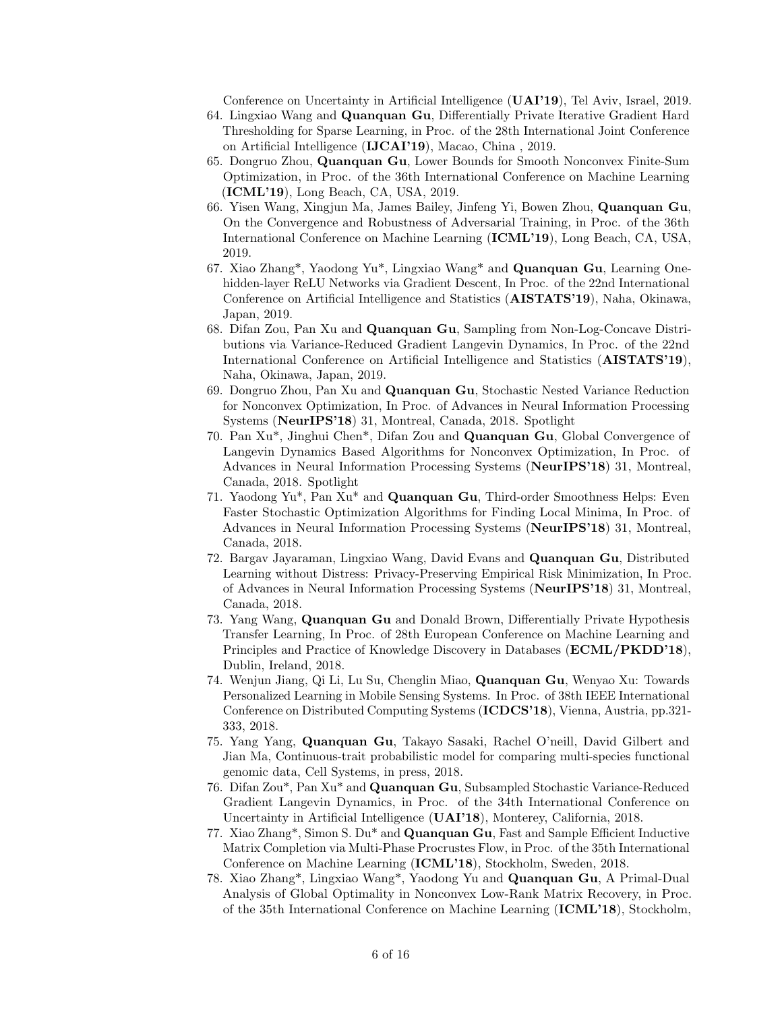Conference on Uncertainty in Artificial Intelligence (UAI'19), Tel Aviv, Israel, 2019.

- 64. Lingxiao Wang and Quanquan Gu, Differentially Private Iterative Gradient Hard Thresholding for Sparse Learning, in Proc. of the 28th International Joint Conference on Artificial Intelligence (IJCAI'19), Macao, China , 2019.
- 65. Dongruo Zhou, Quanquan Gu, Lower Bounds for Smooth Nonconvex Finite-Sum Optimization, in Proc. of the 36th International Conference on Machine Learning (ICML'19), Long Beach, CA, USA, 2019.
- 66. Yisen Wang, Xingjun Ma, James Bailey, Jinfeng Yi, Bowen Zhou, Quanquan Gu, On the Convergence and Robustness of Adversarial Training, in Proc. of the 36th International Conference on Machine Learning (ICML'19), Long Beach, CA, USA, 2019.
- 67. Xiao Zhang\*, Yaodong Yu\*, Lingxiao Wang\* and Quanquan Gu, Learning Onehidden-layer ReLU Networks via Gradient Descent, In Proc. of the 22nd International Conference on Artificial Intelligence and Statistics (AISTATS'19), Naha, Okinawa, Japan, 2019.
- 68. Difan Zou, Pan Xu and Quanquan Gu, Sampling from Non-Log-Concave Distributions via Variance-Reduced Gradient Langevin Dynamics, In Proc. of the 22nd International Conference on Artificial Intelligence and Statistics (AISTATS'19), Naha, Okinawa, Japan, 2019.
- 69. Dongruo Zhou, Pan Xu and Quanquan Gu, Stochastic Nested Variance Reduction for Nonconvex Optimization, In Proc. of Advances in Neural Information Processing Systems (NeurIPS'18) 31, Montreal, Canada, 2018. Spotlight
- 70. Pan Xu\*, Jinghui Chen\*, Difan Zou and Quanquan Gu, Global Convergence of Langevin Dynamics Based Algorithms for Nonconvex Optimization, In Proc. of Advances in Neural Information Processing Systems (NeurIPS'18) 31, Montreal, Canada, 2018. Spotlight
- 71. Yaodong Yu\*, Pan Xu\* and Quanquan Gu, Third-order Smoothness Helps: Even Faster Stochastic Optimization Algorithms for Finding Local Minima, In Proc. of Advances in Neural Information Processing Systems (NeurIPS'18) 31, Montreal, Canada, 2018.
- 72. Bargav Jayaraman, Lingxiao Wang, David Evans and Quanquan Gu, Distributed Learning without Distress: Privacy-Preserving Empirical Risk Minimization, In Proc. of Advances in Neural Information Processing Systems (NeurIPS'18) 31, Montreal, Canada, 2018.
- 73. Yang Wang, Quanquan Gu and Donald Brown, Differentially Private Hypothesis Transfer Learning, In Proc. of 28th European Conference on Machine Learning and Principles and Practice of Knowledge Discovery in Databases (ECML/PKDD'18), Dublin, Ireland, 2018.
- 74. Wenjun Jiang, Qi Li, Lu Su, Chenglin Miao, Quanquan Gu, Wenyao Xu: Towards Personalized Learning in Mobile Sensing Systems. In Proc. of 38th IEEE International Conference on Distributed Computing Systems (ICDCS'18), Vienna, Austria, pp.321- 333, 2018.
- 75. Yang Yang, Quanquan Gu, Takayo Sasaki, Rachel O'neill, David Gilbert and Jian Ma, Continuous-trait probabilistic model for comparing multi-species functional genomic data, Cell Systems, in press, 2018.
- 76. Difan Zou\*, Pan Xu\* and Quanquan Gu, Subsampled Stochastic Variance-Reduced Gradient Langevin Dynamics, in Proc. of the 34th International Conference on Uncertainty in Artificial Intelligence (UAI'18), Monterey, California, 2018.
- 77. Xiao Zhang<sup>\*</sup>, Simon S. Du<sup>\*</sup> and **Quanquan Gu**, Fast and Sample Efficient Inductive Matrix Completion via Multi-Phase Procrustes Flow, in Proc. of the 35th International Conference on Machine Learning (ICML'18), Stockholm, Sweden, 2018.
- 78. Xiao Zhang\*, Lingxiao Wang\*, Yaodong Yu and Quanquan Gu, A Primal-Dual Analysis of Global Optimality in Nonconvex Low-Rank Matrix Recovery, in Proc. of the 35th International Conference on Machine Learning (ICML'18), Stockholm,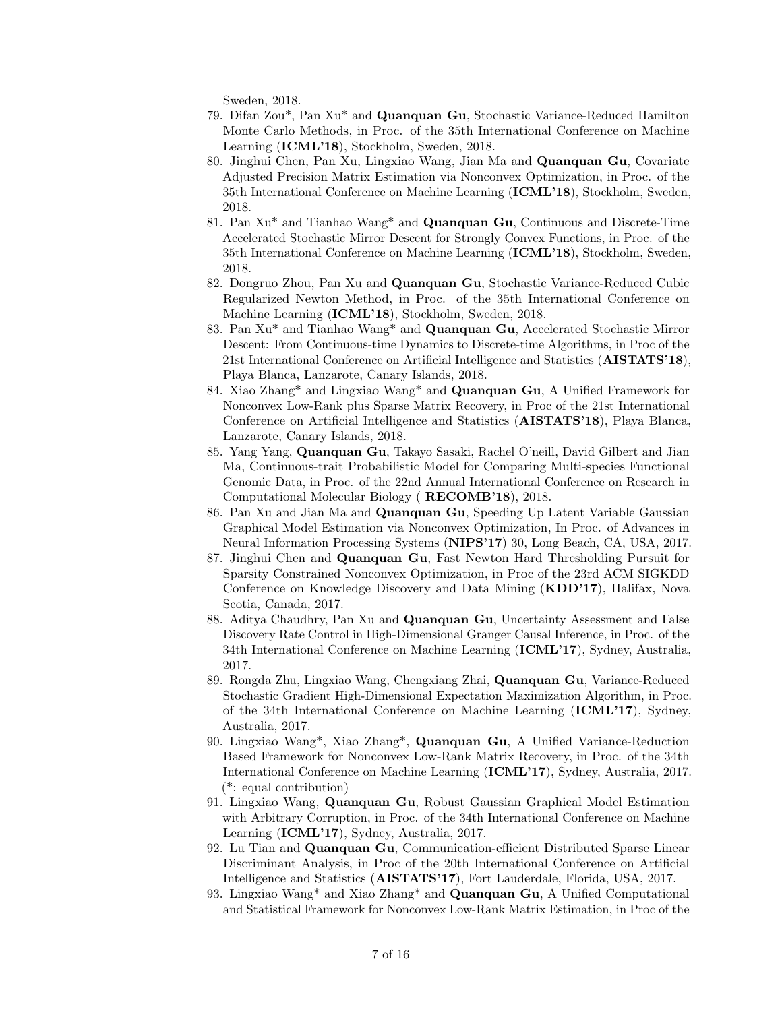Sweden, 2018.

- 79. Difan Zou\*, Pan Xu\* and Quanquan Gu, Stochastic Variance-Reduced Hamilton Monte Carlo Methods, in Proc. of the 35th International Conference on Machine Learning (ICML'18), Stockholm, Sweden, 2018.
- 80. Jinghui Chen, Pan Xu, Lingxiao Wang, Jian Ma and Quanquan Gu, Covariate Adjusted Precision Matrix Estimation via Nonconvex Optimization, in Proc. of the 35th International Conference on Machine Learning (ICML'18), Stockholm, Sweden, 2018.
- 81. Pan Xu\* and Tianhao Wang\* and Quanquan Gu, Continuous and Discrete-Time Accelerated Stochastic Mirror Descent for Strongly Convex Functions, in Proc. of the 35th International Conference on Machine Learning (ICML'18), Stockholm, Sweden, 2018.
- 82. Dongruo Zhou, Pan Xu and Quanquan Gu, Stochastic Variance-Reduced Cubic Regularized Newton Method, in Proc. of the 35th International Conference on Machine Learning (ICML'18), Stockholm, Sweden, 2018.
- 83. Pan Xu\* and Tianhao Wang\* and Quanquan Gu, Accelerated Stochastic Mirror Descent: From Continuous-time Dynamics to Discrete-time Algorithms, in Proc of the 21st International Conference on Artificial Intelligence and Statistics (AISTATS'18), Playa Blanca, Lanzarote, Canary Islands, 2018.
- 84. Xiao Zhang<sup>\*</sup> and Lingxiao Wang<sup>\*</sup> and **Quanquan Gu**, A Unified Framework for Nonconvex Low-Rank plus Sparse Matrix Recovery, in Proc of the 21st International Conference on Artificial Intelligence and Statistics (AISTATS'18), Playa Blanca, Lanzarote, Canary Islands, 2018.
- 85. Yang Yang, Quanquan Gu, Takayo Sasaki, Rachel O'neill, David Gilbert and Jian Ma, Continuous-trait Probabilistic Model for Comparing Multi-species Functional Genomic Data, in Proc. of the 22nd Annual International Conference on Research in Computational Molecular Biology ( RECOMB'18), 2018.
- 86. Pan Xu and Jian Ma and Quanquan Gu, Speeding Up Latent Variable Gaussian Graphical Model Estimation via Nonconvex Optimization, In Proc. of Advances in Neural Information Processing Systems (NIPS'17) 30, Long Beach, CA, USA, 2017.
- 87. Jinghui Chen and Quanquan Gu, Fast Newton Hard Thresholding Pursuit for Sparsity Constrained Nonconvex Optimization, in Proc of the 23rd ACM SIGKDD Conference on Knowledge Discovery and Data Mining (KDD'17), Halifax, Nova Scotia, Canada, 2017.
- 88. Aditya Chaudhry, Pan Xu and Quanquan Gu, Uncertainty Assessment and False Discovery Rate Control in High-Dimensional Granger Causal Inference, in Proc. of the 34th International Conference on Machine Learning (ICML'17), Sydney, Australia, 2017.
- 89. Rongda Zhu, Lingxiao Wang, Chengxiang Zhai, Quanquan Gu, Variance-Reduced Stochastic Gradient High-Dimensional Expectation Maximization Algorithm, in Proc. of the 34th International Conference on Machine Learning (ICML'17), Sydney, Australia, 2017.
- 90. Lingxiao Wang\*, Xiao Zhang\*, Quanquan Gu, A Unified Variance-Reduction Based Framework for Nonconvex Low-Rank Matrix Recovery, in Proc. of the 34th International Conference on Machine Learning (ICML'17), Sydney, Australia, 2017. (\*: equal contribution)
- 91. Lingxiao Wang, Quanquan Gu, Robust Gaussian Graphical Model Estimation with Arbitrary Corruption, in Proc. of the 34th International Conference on Machine Learning (ICML'17), Sydney, Australia, 2017.
- 92. Lu Tian and Quanquan Gu, Communication-efficient Distributed Sparse Linear Discriminant Analysis, in Proc of the 20th International Conference on Artificial Intelligence and Statistics (AISTATS'17), Fort Lauderdale, Florida, USA, 2017.
- 93. Lingxiao Wang\* and Xiao Zhang\* and Quanquan Gu, A Unified Computational and Statistical Framework for Nonconvex Low-Rank Matrix Estimation, in Proc of the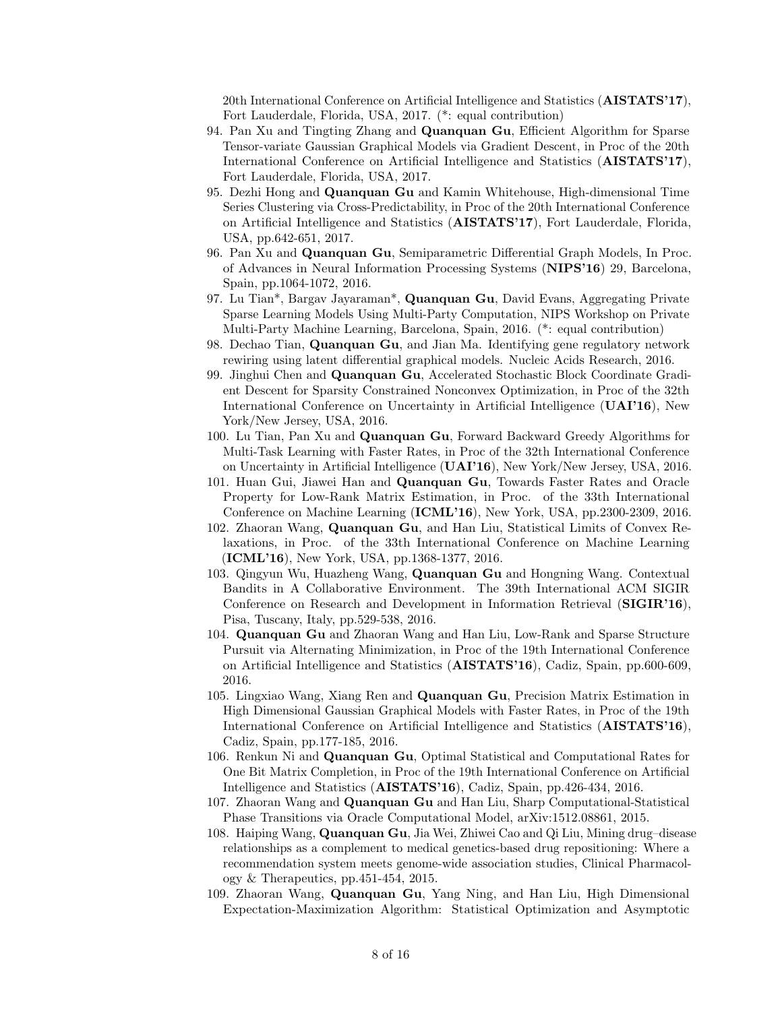20th International Conference on Artificial Intelligence and Statistics (AISTATS'17), Fort Lauderdale, Florida, USA, 2017. (\*: equal contribution)

- 94. Pan Xu and Tingting Zhang and Quanquan Gu, Efficient Algorithm for Sparse Tensor-variate Gaussian Graphical Models via Gradient Descent, in Proc of the 20th International Conference on Artificial Intelligence and Statistics (AISTATS'17), Fort Lauderdale, Florida, USA, 2017.
- 95. Dezhi Hong and Quanquan Gu and Kamin Whitehouse, High-dimensional Time Series Clustering via Cross-Predictability, in Proc of the 20th International Conference on Artificial Intelligence and Statistics (AISTATS'17), Fort Lauderdale, Florida, USA, pp.642-651, 2017.
- 96. Pan Xu and Quanquan Gu, Semiparametric Differential Graph Models, In Proc. of Advances in Neural Information Processing Systems (NIPS'16) 29, Barcelona, Spain, pp.1064-1072, 2016.
- 97. Lu Tian\*, Bargav Jayaraman\*, Quanquan Gu, David Evans, Aggregating Private Sparse Learning Models Using Multi-Party Computation, NIPS Workshop on Private Multi-Party Machine Learning, Barcelona, Spain, 2016. (\*: equal contribution)
- 98. Dechao Tian, Quanquan Gu, and Jian Ma. Identifying gene regulatory network rewiring using latent differential graphical models. Nucleic Acids Research, 2016.
- 99. Jinghui Chen and Quanquan Gu, Accelerated Stochastic Block Coordinate Gradient Descent for Sparsity Constrained Nonconvex Optimization, in Proc of the 32th International Conference on Uncertainty in Artificial Intelligence (UAI'16), New York/New Jersey, USA, 2016.
- 100. Lu Tian, Pan Xu and Quanquan Gu, Forward Backward Greedy Algorithms for Multi-Task Learning with Faster Rates, in Proc of the 32th International Conference on Uncertainty in Artificial Intelligence (UAI'16), New York/New Jersey, USA, 2016.
- 101. Huan Gui, Jiawei Han and Quanquan Gu, Towards Faster Rates and Oracle Property for Low-Rank Matrix Estimation, in Proc. of the 33th International Conference on Machine Learning (ICML'16), New York, USA, pp.2300-2309, 2016.
- 102. Zhaoran Wang, Quanquan Gu, and Han Liu, Statistical Limits of Convex Relaxations, in Proc. of the 33th International Conference on Machine Learning (ICML'16), New York, USA, pp.1368-1377, 2016.
- 103. Qingyun Wu, Huazheng Wang, Quanquan Gu and Hongning Wang. Contextual Bandits in A Collaborative Environment. The 39th International ACM SIGIR Conference on Research and Development in Information Retrieval (SIGIR'16), Pisa, Tuscany, Italy, pp.529-538, 2016.
- 104. Quanquan Gu and Zhaoran Wang and Han Liu, Low-Rank and Sparse Structure Pursuit via Alternating Minimization, in Proc of the 19th International Conference on Artificial Intelligence and Statistics (AISTATS'16), Cadiz, Spain, pp.600-609, 2016.
- 105. Lingxiao Wang, Xiang Ren and Quanquan Gu, Precision Matrix Estimation in High Dimensional Gaussian Graphical Models with Faster Rates, in Proc of the 19th International Conference on Artificial Intelligence and Statistics (AISTATS'16), Cadiz, Spain, pp.177-185, 2016.
- 106. Renkun Ni and Quanquan Gu, Optimal Statistical and Computational Rates for One Bit Matrix Completion, in Proc of the 19th International Conference on Artificial Intelligence and Statistics (AISTATS'16), Cadiz, Spain, pp.426-434, 2016.
- 107. Zhaoran Wang and Quanquan Gu and Han Liu, Sharp Computational-Statistical Phase Transitions via Oracle Computational Model, arXiv:1512.08861, 2015.
- 108. Haiping Wang, Quanquan Gu, Jia Wei, Zhiwei Cao and Qi Liu, Mining drug–disease relationships as a complement to medical genetics-based drug repositioning: Where a recommendation system meets genome-wide association studies, Clinical Pharmacology & Therapeutics, pp.451-454, 2015.
- 109. Zhaoran Wang, Quanquan Gu, Yang Ning, and Han Liu, High Dimensional Expectation-Maximization Algorithm: Statistical Optimization and Asymptotic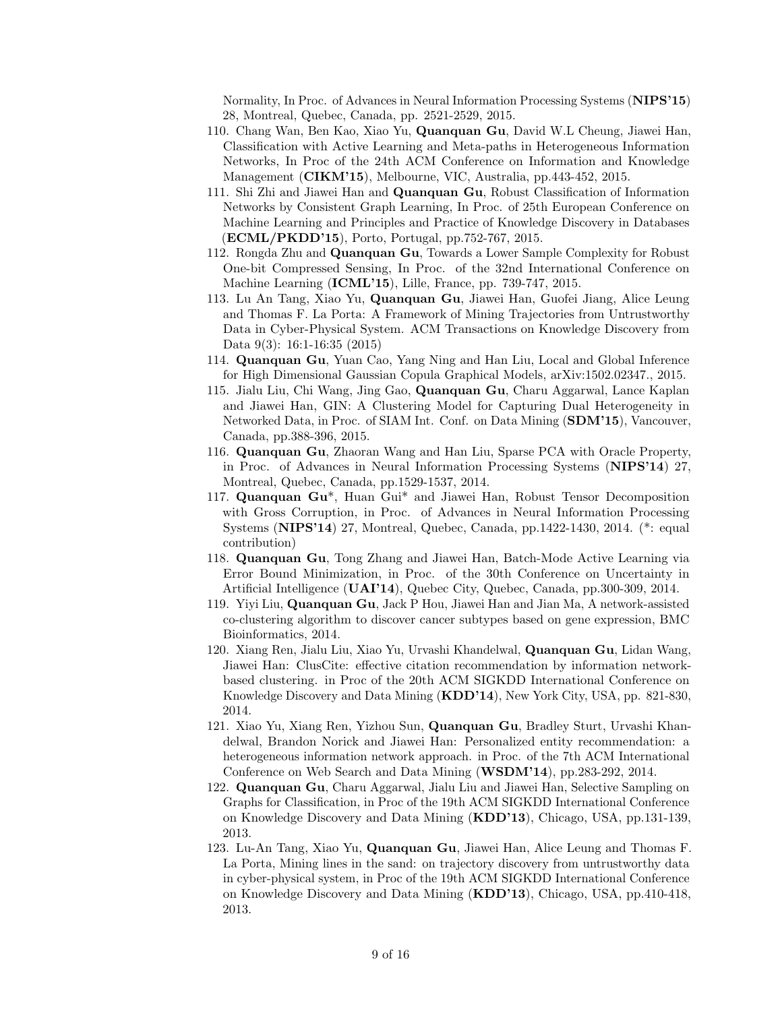Normality, In Proc. of Advances in Neural Information Processing Systems (NIPS'15) 28, Montreal, Quebec, Canada, pp. 2521-2529, 2015.

- 110. Chang Wan, Ben Kao, Xiao Yu, Quanquan Gu, David W.L Cheung, Jiawei Han, Classification with Active Learning and Meta-paths in Heterogeneous Information Networks, In Proc of the 24th ACM Conference on Information and Knowledge Management (CIKM'15), Melbourne, VIC, Australia, pp.443-452, 2015.
- 111. Shi Zhi and Jiawei Han and Quanquan Gu, Robust Classification of Information Networks by Consistent Graph Learning, In Proc. of 25th European Conference on Machine Learning and Principles and Practice of Knowledge Discovery in Databases (ECML/PKDD'15), Porto, Portugal, pp.752-767, 2015.
- 112. Rongda Zhu and Quanquan Gu, Towards a Lower Sample Complexity for Robust One-bit Compressed Sensing, In Proc. of the 32nd International Conference on Machine Learning (ICML'15), Lille, France, pp. 739-747, 2015.
- 113. Lu An Tang, Xiao Yu, Quanquan Gu, Jiawei Han, Guofei Jiang, Alice Leung and Thomas F. La Porta: A Framework of Mining Trajectories from Untrustworthy Data in Cyber-Physical System. ACM Transactions on Knowledge Discovery from Data 9(3): 16:1-16:35 (2015)
- 114. Quanquan Gu, Yuan Cao, Yang Ning and Han Liu, Local and Global Inference for High Dimensional Gaussian Copula Graphical Models, arXiv:1502.02347., 2015.
- 115. Jialu Liu, Chi Wang, Jing Gao, Quanquan Gu, Charu Aggarwal, Lance Kaplan and Jiawei Han, GIN: A Clustering Model for Capturing Dual Heterogeneity in Networked Data, in Proc. of SIAM Int. Conf. on Data Mining (SDM'15), Vancouver, Canada, pp.388-396, 2015.
- 116. Quanquan Gu, Zhaoran Wang and Han Liu, Sparse PCA with Oracle Property, in Proc. of Advances in Neural Information Processing Systems (NIPS'14) 27, Montreal, Quebec, Canada, pp.1529-1537, 2014.
- 117. Quanquan Gu\*, Huan Gui\* and Jiawei Han, Robust Tensor Decomposition with Gross Corruption, in Proc. of Advances in Neural Information Processing Systems (NIPS'14) 27, Montreal, Quebec, Canada, pp.1422-1430, 2014. (\*: equal contribution)
- 118. Quanquan Gu, Tong Zhang and Jiawei Han, Batch-Mode Active Learning via Error Bound Minimization, in Proc. of the 30th Conference on Uncertainty in Artificial Intelligence (UAI'14), Quebec City, Quebec, Canada, pp.300-309, 2014.
- 119. Yiyi Liu, Quanquan Gu, Jack P Hou, Jiawei Han and Jian Ma, A network-assisted co-clustering algorithm to discover cancer subtypes based on gene expression, BMC Bioinformatics, 2014.
- 120. Xiang Ren, Jialu Liu, Xiao Yu, Urvashi Khandelwal, Quanquan Gu, Lidan Wang, Jiawei Han: ClusCite: effective citation recommendation by information networkbased clustering. in Proc of the 20th ACM SIGKDD International Conference on Knowledge Discovery and Data Mining (KDD'14), New York City, USA, pp. 821-830, 2014.
- 121. Xiao Yu, Xiang Ren, Yizhou Sun, Quanquan Gu, Bradley Sturt, Urvashi Khandelwal, Brandon Norick and Jiawei Han: Personalized entity recommendation: a heterogeneous information network approach. in Proc. of the 7th ACM International Conference on Web Search and Data Mining (WSDM'14), pp.283-292, 2014.
- 122. Quanquan Gu, Charu Aggarwal, Jialu Liu and Jiawei Han, Selective Sampling on Graphs for Classification, in Proc of the 19th ACM SIGKDD International Conference on Knowledge Discovery and Data Mining (KDD'13), Chicago, USA, pp.131-139, 2013.
- 123. Lu-An Tang, Xiao Yu, Quanquan Gu, Jiawei Han, Alice Leung and Thomas F. La Porta, Mining lines in the sand: on trajectory discovery from untrustworthy data in cyber-physical system, in Proc of the 19th ACM SIGKDD International Conference on Knowledge Discovery and Data Mining (KDD'13), Chicago, USA, pp.410-418, 2013.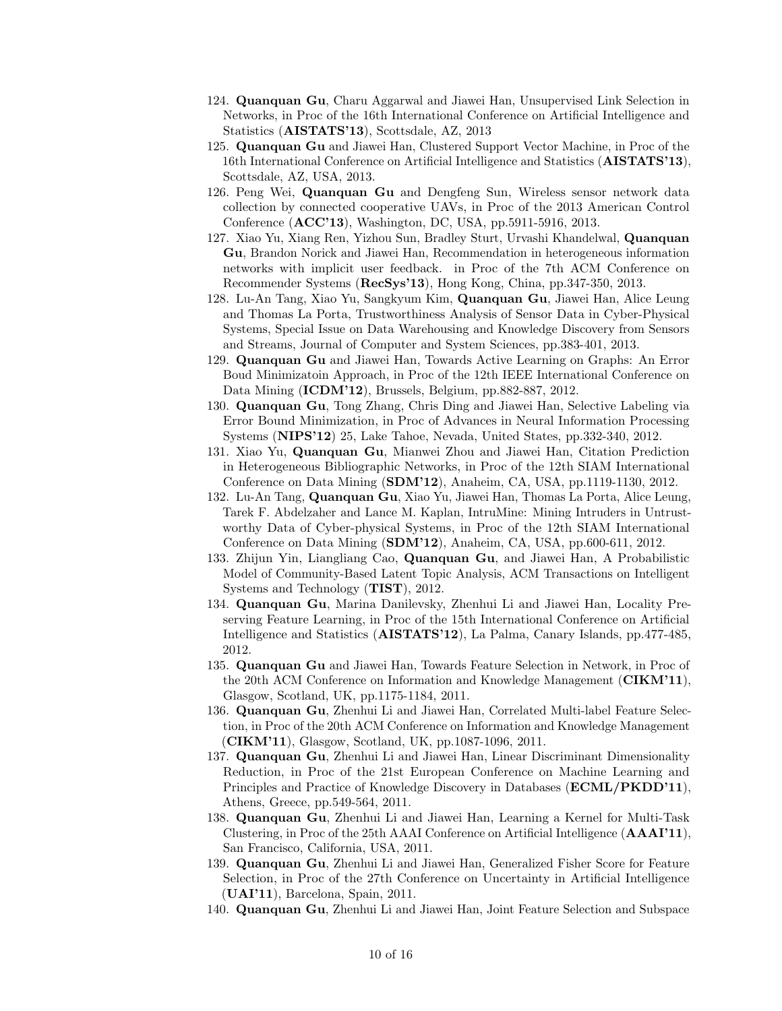- 124. Quanquan Gu, Charu Aggarwal and Jiawei Han, Unsupervised Link Selection in Networks, in Proc of the 16th International Conference on Artificial Intelligence and Statistics (AISTATS'13), Scottsdale, AZ, 2013
- 125. Quanquan Gu and Jiawei Han, Clustered Support Vector Machine, in Proc of the 16th International Conference on Artificial Intelligence and Statistics (AISTATS'13), Scottsdale, AZ, USA, 2013.
- 126. Peng Wei, Quanquan Gu and Dengfeng Sun, Wireless sensor network data collection by connected cooperative UAVs, in Proc of the 2013 American Control Conference (ACC'13), Washington, DC, USA, pp.5911-5916, 2013.
- 127. Xiao Yu, Xiang Ren, Yizhou Sun, Bradley Sturt, Urvashi Khandelwal, Quanquan Gu, Brandon Norick and Jiawei Han, Recommendation in heterogeneous information networks with implicit user feedback. in Proc of the 7th ACM Conference on Recommender Systems (RecSys'13), Hong Kong, China, pp.347-350, 2013.
- 128. Lu-An Tang, Xiao Yu, Sangkyum Kim, Quanquan Gu, Jiawei Han, Alice Leung and Thomas La Porta, Trustworthiness Analysis of Sensor Data in Cyber-Physical Systems, Special Issue on Data Warehousing and Knowledge Discovery from Sensors and Streams, Journal of Computer and System Sciences, pp.383-401, 2013.
- 129. Quanquan Gu and Jiawei Han, Towards Active Learning on Graphs: An Error Boud Minimizatoin Approach, in Proc of the 12th IEEE International Conference on Data Mining (ICDM'12), Brussels, Belgium, pp.882-887, 2012.
- 130. Quanquan Gu, Tong Zhang, Chris Ding and Jiawei Han, Selective Labeling via Error Bound Minimization, in Proc of Advances in Neural Information Processing Systems (NIPS'12) 25, Lake Tahoe, Nevada, United States, pp.332-340, 2012.
- 131. Xiao Yu, Quanquan Gu, Mianwei Zhou and Jiawei Han, Citation Prediction in Heterogeneous Bibliographic Networks, in Proc of the 12th SIAM International Conference on Data Mining (SDM'12), Anaheim, CA, USA, pp.1119-1130, 2012.
- 132. Lu-An Tang, Quanquan Gu, Xiao Yu, Jiawei Han, Thomas La Porta, Alice Leung, Tarek F. Abdelzaher and Lance M. Kaplan, IntruMine: Mining Intruders in Untrustworthy Data of Cyber-physical Systems, in Proc of the 12th SIAM International Conference on Data Mining (SDM'12), Anaheim, CA, USA, pp.600-611, 2012.
- 133. Zhijun Yin, Liangliang Cao, Quanquan Gu, and Jiawei Han, A Probabilistic Model of Community-Based Latent Topic Analysis, ACM Transactions on Intelligent Systems and Technology (TIST), 2012.
- 134. Quanquan Gu, Marina Danilevsky, Zhenhui Li and Jiawei Han, Locality Preserving Feature Learning, in Proc of the 15th International Conference on Artificial Intelligence and Statistics (AISTATS'12), La Palma, Canary Islands, pp.477-485, 2012.
- 135. Quanquan Gu and Jiawei Han, Towards Feature Selection in Network, in Proc of the 20th ACM Conference on Information and Knowledge Management (CIKM'11), Glasgow, Scotland, UK, pp.1175-1184, 2011.
- 136. Quanquan Gu, Zhenhui Li and Jiawei Han, Correlated Multi-label Feature Selection, in Proc of the 20th ACM Conference on Information and Knowledge Management (CIKM'11), Glasgow, Scotland, UK, pp.1087-1096, 2011.
- 137. Quanquan Gu, Zhenhui Li and Jiawei Han, Linear Discriminant Dimensionality Reduction, in Proc of the 21st European Conference on Machine Learning and Principles and Practice of Knowledge Discovery in Databases (ECML/PKDD'11), Athens, Greece, pp.549-564, 2011.
- 138. Quanquan Gu, Zhenhui Li and Jiawei Han, Learning a Kernel for Multi-Task Clustering, in Proc of the 25th AAAI Conference on Artificial Intelligence (AAAI'11), San Francisco, California, USA, 2011.
- 139. Quanquan Gu, Zhenhui Li and Jiawei Han, Generalized Fisher Score for Feature Selection, in Proc of the 27th Conference on Uncertainty in Artificial Intelligence (UAI'11), Barcelona, Spain, 2011.
- 140. Quanquan Gu, Zhenhui Li and Jiawei Han, Joint Feature Selection and Subspace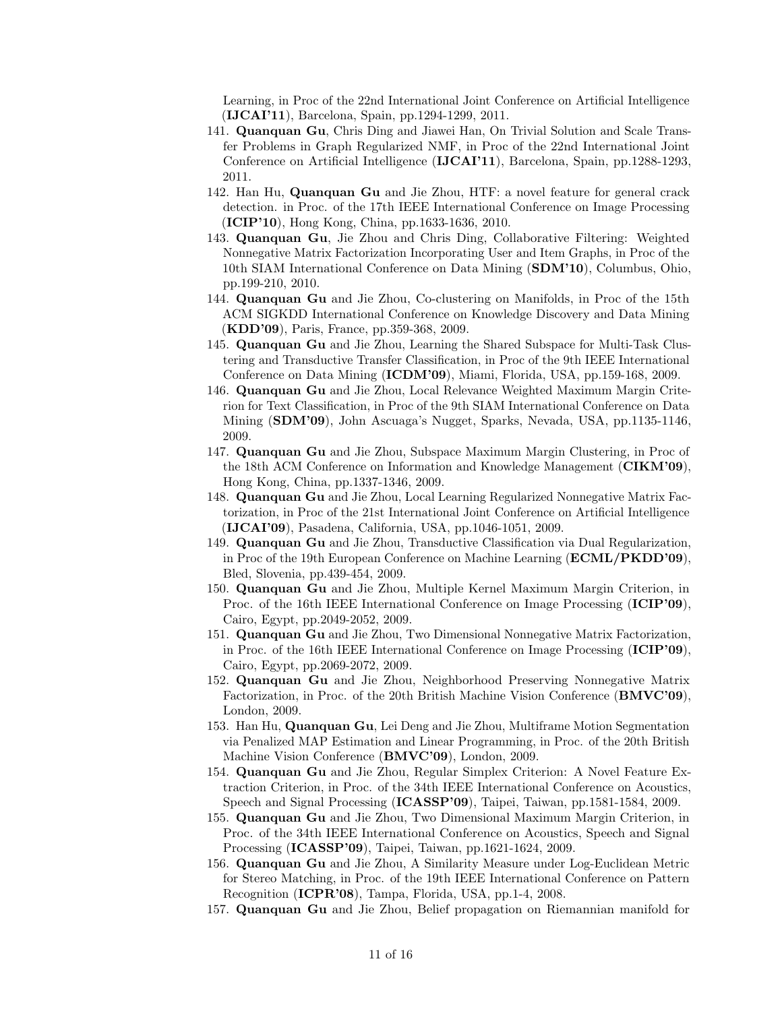Learning, in Proc of the 22nd International Joint Conference on Artificial Intelligence (IJCAI'11), Barcelona, Spain, pp.1294-1299, 2011.

- 141. Quanquan Gu, Chris Ding and Jiawei Han, On Trivial Solution and Scale Transfer Problems in Graph Regularized NMF, in Proc of the 22nd International Joint Conference on Artificial Intelligence (IJCAI'11), Barcelona, Spain, pp.1288-1293, 2011.
- 142. Han Hu, Quanquan Gu and Jie Zhou, HTF: a novel feature for general crack detection. in Proc. of the 17th IEEE International Conference on Image Processing (ICIP'10), Hong Kong, China, pp.1633-1636, 2010.
- 143. Quanquan Gu, Jie Zhou and Chris Ding, Collaborative Filtering: Weighted Nonnegative Matrix Factorization Incorporating User and Item Graphs, in Proc of the 10th SIAM International Conference on Data Mining (SDM'10), Columbus, Ohio, pp.199-210, 2010.
- 144. Quanquan Gu and Jie Zhou, Co-clustering on Manifolds, in Proc of the 15th ACM SIGKDD International Conference on Knowledge Discovery and Data Mining (KDD'09), Paris, France, pp.359-368, 2009.
- 145. Quanquan Gu and Jie Zhou, Learning the Shared Subspace for Multi-Task Clustering and Transductive Transfer Classification, in Proc of the 9th IEEE International Conference on Data Mining (ICDM'09), Miami, Florida, USA, pp.159-168, 2009.
- 146. Quanquan Gu and Jie Zhou, Local Relevance Weighted Maximum Margin Criterion for Text Classification, in Proc of the 9th SIAM International Conference on Data Mining (SDM'09), John Ascuaga's Nugget, Sparks, Nevada, USA, pp.1135-1146, 2009.
- 147. Quanquan Gu and Jie Zhou, Subspace Maximum Margin Clustering, in Proc of the 18th ACM Conference on Information and Knowledge Management (CIKM'09), Hong Kong, China, pp.1337-1346, 2009.
- 148. Quanquan Gu and Jie Zhou, Local Learning Regularized Nonnegative Matrix Factorization, in Proc of the 21st International Joint Conference on Artificial Intelligence (IJCAI'09), Pasadena, California, USA, pp.1046-1051, 2009.
- 149. Quanquan Gu and Jie Zhou, Transductive Classification via Dual Regularization, in Proc of the 19th European Conference on Machine Learning (ECML/PKDD'09), Bled, Slovenia, pp.439-454, 2009.
- 150. Quanquan Gu and Jie Zhou, Multiple Kernel Maximum Margin Criterion, in Proc. of the 16th IEEE International Conference on Image Processing (ICIP'09), Cairo, Egypt, pp.2049-2052, 2009.
- 151. Quanquan Gu and Jie Zhou, Two Dimensional Nonnegative Matrix Factorization, in Proc. of the 16th IEEE International Conference on Image Processing (ICIP'09), Cairo, Egypt, pp.2069-2072, 2009.
- 152. Quanquan Gu and Jie Zhou, Neighborhood Preserving Nonnegative Matrix Factorization, in Proc. of the 20th British Machine Vision Conference (BMVC'09), London, 2009.
- 153. Han Hu, Quanquan Gu, Lei Deng and Jie Zhou, Multiframe Motion Segmentation via Penalized MAP Estimation and Linear Programming, in Proc. of the 20th British Machine Vision Conference (BMVC'09), London, 2009.
- 154. Quanquan Gu and Jie Zhou, Regular Simplex Criterion: A Novel Feature Extraction Criterion, in Proc. of the 34th IEEE International Conference on Acoustics, Speech and Signal Processing (ICASSP'09), Taipei, Taiwan, pp.1581-1584, 2009.
- 155. Quanquan Gu and Jie Zhou, Two Dimensional Maximum Margin Criterion, in Proc. of the 34th IEEE International Conference on Acoustics, Speech and Signal Processing (ICASSP'09), Taipei, Taiwan, pp.1621-1624, 2009.
- 156. Quanquan Gu and Jie Zhou, A Similarity Measure under Log-Euclidean Metric for Stereo Matching, in Proc. of the 19th IEEE International Conference on Pattern Recognition (ICPR'08), Tampa, Florida, USA, pp.1-4, 2008.
- 157. Quanquan Gu and Jie Zhou, Belief propagation on Riemannian manifold for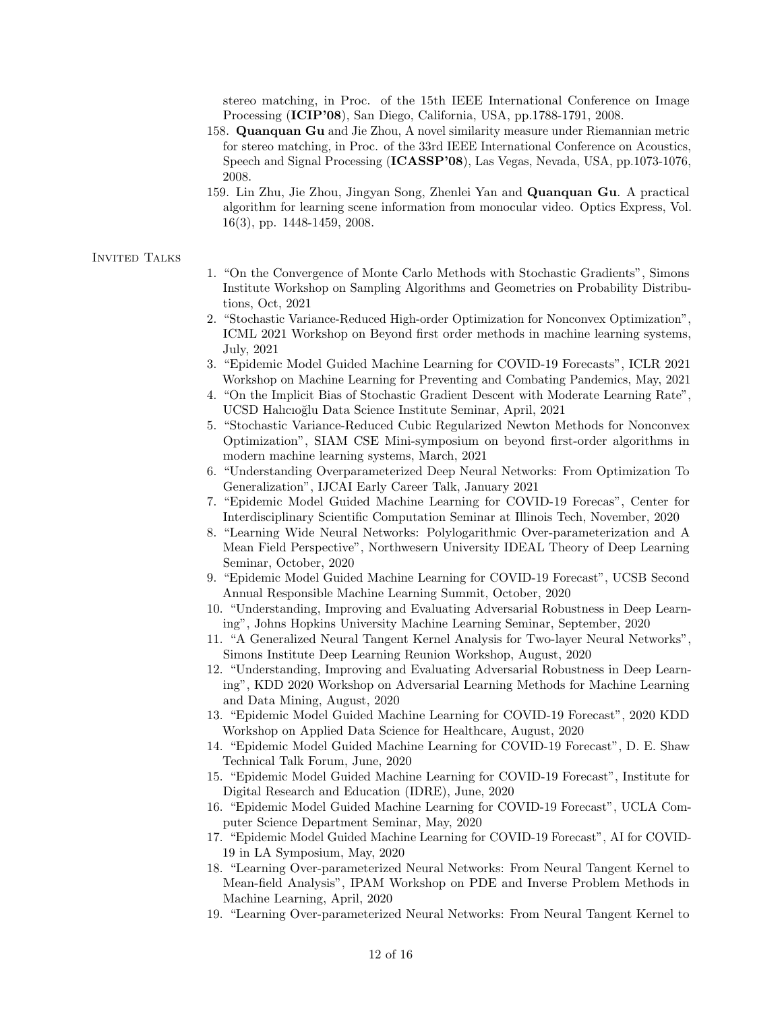stereo matching, in Proc. of the 15th IEEE International Conference on Image Processing (ICIP'08), San Diego, California, USA, pp.1788-1791, 2008.

- 158. Quanquan Gu and Jie Zhou, A novel similarity measure under Riemannian metric for stereo matching, in Proc. of the 33rd IEEE International Conference on Acoustics, Speech and Signal Processing (ICASSP'08), Las Vegas, Nevada, USA, pp.1073-1076, 2008.
- 159. Lin Zhu, Jie Zhou, Jingyan Song, Zhenlei Yan and Quanquan Gu. A practical algorithm for learning scene information from monocular video. Optics Express, Vol. 16(3), pp. 1448-1459, 2008.

## INVITED TALKS

- 1. "On the Convergence of Monte Carlo Methods with Stochastic Gradients", Simons Institute Workshop on Sampling Algorithms and Geometries on Probability Distributions, Oct, 2021
- 2. "Stochastic Variance-Reduced High-order Optimization for Nonconvex Optimization", ICML 2021 Workshop on Beyond first order methods in machine learning systems, July, 2021
- 3. "Epidemic Model Guided Machine Learning for COVID-19 Forecasts", ICLR 2021 Workshop on Machine Learning for Preventing and Combating Pandemics, May, 2021
- 4. "On the Implicit Bias of Stochastic Gradient Descent with Moderate Learning Rate", UCSD Halıcıo˘glu Data Science Institute Seminar, April, 2021
- 5. "Stochastic Variance-Reduced Cubic Regularized Newton Methods for Nonconvex Optimization", SIAM CSE Mini-symposium on beyond first-order algorithms in modern machine learning systems, March, 2021
- 6. "Understanding Overparameterized Deep Neural Networks: From Optimization To Generalization", IJCAI Early Career Talk, January 2021
- 7. "Epidemic Model Guided Machine Learning for COVID-19 Forecas", Center for Interdisciplinary Scientific Computation Seminar at Illinois Tech, November, 2020
- 8. "Learning Wide Neural Networks: Polylogarithmic Over-parameterization and A Mean Field Perspective", Northwesern University IDEAL Theory of Deep Learning Seminar, October, 2020
- 9. "Epidemic Model Guided Machine Learning for COVID-19 Forecast", UCSB Second Annual Responsible Machine Learning Summit, October, 2020
- 10. "Understanding, Improving and Evaluating Adversarial Robustness in Deep Learning", Johns Hopkins University Machine Learning Seminar, September, 2020
- 11. "A Generalized Neural Tangent Kernel Analysis for Two-layer Neural Networks", Simons Institute Deep Learning Reunion Workshop, August, 2020
- 12. "Understanding, Improving and Evaluating Adversarial Robustness in Deep Learning", KDD 2020 Workshop on Adversarial Learning Methods for Machine Learning and Data Mining, August, 2020
- 13. "Epidemic Model Guided Machine Learning for COVID-19 Forecast", 2020 KDD Workshop on Applied Data Science for Healthcare, August, 2020
- 14. "Epidemic Model Guided Machine Learning for COVID-19 Forecast", D. E. Shaw Technical Talk Forum, June, 2020
- 15. "Epidemic Model Guided Machine Learning for COVID-19 Forecast", Institute for Digital Research and Education (IDRE), June, 2020
- 16. "Epidemic Model Guided Machine Learning for COVID-19 Forecast", UCLA Computer Science Department Seminar, May, 2020
- 17. "Epidemic Model Guided Machine Learning for COVID-19 Forecast", AI for COVID-19 in LA Symposium, May, 2020
- 18. "Learning Over-parameterized Neural Networks: From Neural Tangent Kernel to Mean-field Analysis", IPAM Workshop on PDE and Inverse Problem Methods in Machine Learning, April, 2020
- 19. "Learning Over-parameterized Neural Networks: From Neural Tangent Kernel to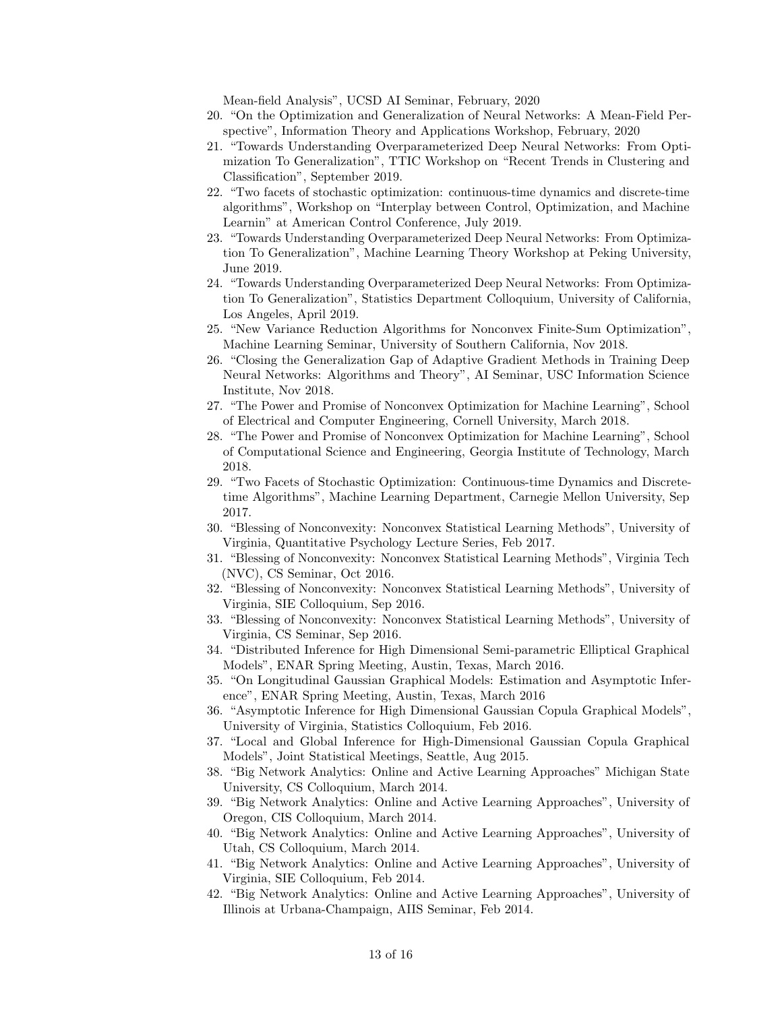Mean-field Analysis", UCSD AI Seminar, February, 2020

- 20. "On the Optimization and Generalization of Neural Networks: A Mean-Field Perspective", Information Theory and Applications Workshop, February, 2020
- 21. "Towards Understanding Overparameterized Deep Neural Networks: From Optimization To Generalization", TTIC Workshop on "Recent Trends in Clustering and Classification", September 2019.
- 22. "Two facets of stochastic optimization: continuous-time dynamics and discrete-time algorithms", Workshop on "Interplay between Control, Optimization, and Machine Learnin" at American Control Conference, July 2019.
- 23. "Towards Understanding Overparameterized Deep Neural Networks: From Optimization To Generalization", Machine Learning Theory Workshop at Peking University, June 2019.
- 24. "Towards Understanding Overparameterized Deep Neural Networks: From Optimization To Generalization", Statistics Department Colloquium, University of California, Los Angeles, April 2019.
- 25. "New Variance Reduction Algorithms for Nonconvex Finite-Sum Optimization", Machine Learning Seminar, University of Southern California, Nov 2018.
- 26. "Closing the Generalization Gap of Adaptive Gradient Methods in Training Deep Neural Networks: Algorithms and Theory", AI Seminar, USC Information Science Institute, Nov 2018.
- 27. "The Power and Promise of Nonconvex Optimization for Machine Learning", School of Electrical and Computer Engineering, Cornell University, March 2018.
- 28. "The Power and Promise of Nonconvex Optimization for Machine Learning", School of Computational Science and Engineering, Georgia Institute of Technology, March 2018.
- 29. "Two Facets of Stochastic Optimization: Continuous-time Dynamics and Discretetime Algorithms", Machine Learning Department, Carnegie Mellon University, Sep 2017.
- 30. "Blessing of Nonconvexity: Nonconvex Statistical Learning Methods", University of Virginia, Quantitative Psychology Lecture Series, Feb 2017.
- 31. "Blessing of Nonconvexity: Nonconvex Statistical Learning Methods", Virginia Tech (NVC), CS Seminar, Oct 2016.
- 32. "Blessing of Nonconvexity: Nonconvex Statistical Learning Methods", University of Virginia, SIE Colloquium, Sep 2016.
- 33. "Blessing of Nonconvexity: Nonconvex Statistical Learning Methods", University of Virginia, CS Seminar, Sep 2016.
- 34. "Distributed Inference for High Dimensional Semi-parametric Elliptical Graphical Models", ENAR Spring Meeting, Austin, Texas, March 2016.
- 35. "On Longitudinal Gaussian Graphical Models: Estimation and Asymptotic Inference", ENAR Spring Meeting, Austin, Texas, March 2016
- 36. "Asymptotic Inference for High Dimensional Gaussian Copula Graphical Models", University of Virginia, Statistics Colloquium, Feb 2016.
- 37. "Local and Global Inference for High-Dimensional Gaussian Copula Graphical Models", Joint Statistical Meetings, Seattle, Aug 2015.
- 38. "Big Network Analytics: Online and Active Learning Approaches" Michigan State University, CS Colloquium, March 2014.
- 39. "Big Network Analytics: Online and Active Learning Approaches", University of Oregon, CIS Colloquium, March 2014.
- 40. "Big Network Analytics: Online and Active Learning Approaches", University of Utah, CS Colloquium, March 2014.
- 41. "Big Network Analytics: Online and Active Learning Approaches", University of Virginia, SIE Colloquium, Feb 2014.
- 42. "Big Network Analytics: Online and Active Learning Approaches", University of Illinois at Urbana-Champaign, AIIS Seminar, Feb 2014.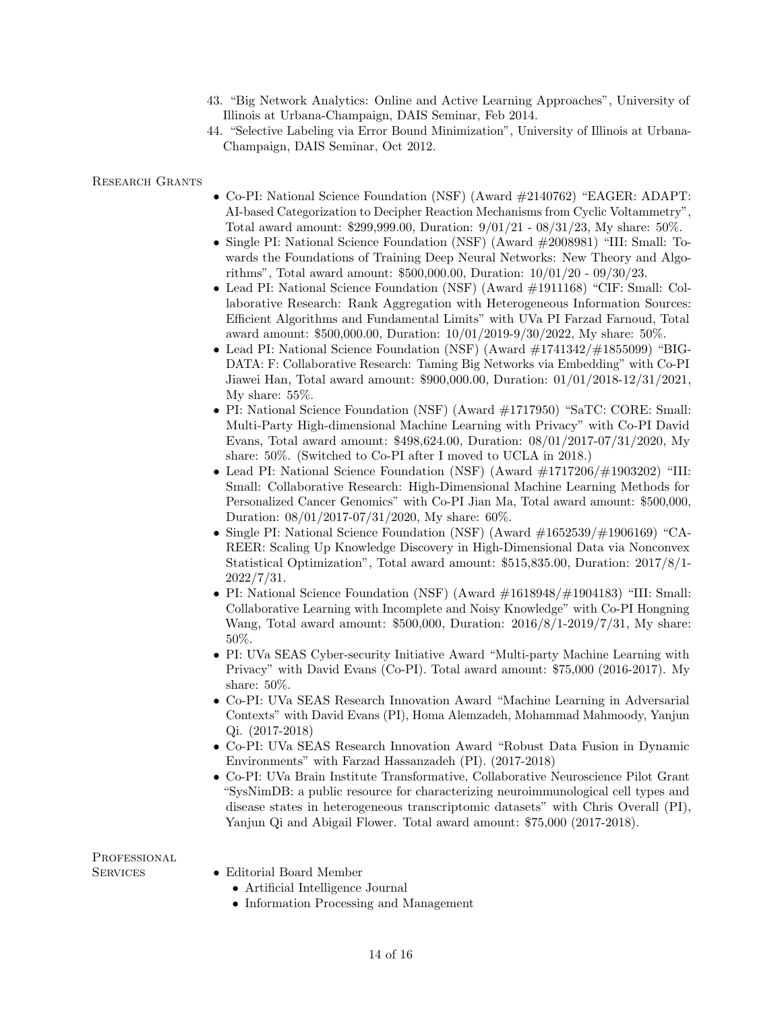- 43. "Big Network Analytics: Online and Active Learning Approaches", University of Illinois at Urbana-Champaign, DAIS Seminar, Feb 2014.
- 44. "Selective Labeling via Error Bound Minimization", University of Illinois at Urbana-Champaign, DAIS Seminar, Oct 2012.

Research Grants

- Co-PI: National Science Foundation (NSF) (Award #2140762) "EAGER: ADAPT: AI-based Categorization to Decipher Reaction Mechanisms from Cyclic Voltammetry", Total award amount: \$299,999.00, Duration: 9/01/21 - 08/31/23, My share: 50%.
- Single PI: National Science Foundation (NSF) (Award #2008981) "III: Small: Towards the Foundations of Training Deep Neural Networks: New Theory and Algorithms", Total award amount: \$500,000.00, Duration: 10/01/20 - 09/30/23.
- Lead PI: National Science Foundation (NSF) (Award #1911168) "CIF: Small: Collaborative Research: Rank Aggregation with Heterogeneous Information Sources: Efficient Algorithms and Fundamental Limits" with UVa PI Farzad Farnoud, Total award amount: \$500,000.00, Duration: 10/01/2019-9/30/2022, My share: 50%.
- Lead PI: National Science Foundation (NSF) (Award #1741342/#1855099) "BIG-DATA: F: Collaborative Research: Taming Big Networks via Embedding" with Co-PI Jiawei Han, Total award amount: \$900,000.00, Duration: 01/01/2018-12/31/2021, My share: 55%.
- PI: National Science Foundation (NSF) (Award #1717950) "SaTC: CORE: Small: Multi-Party High-dimensional Machine Learning with Privacy" with Co-PI David Evans, Total award amount: \$498,624.00, Duration: 08/01/2017-07/31/2020, My share: 50%. (Switched to Co-PI after I moved to UCLA in 2018.)
- Lead PI: National Science Foundation (NSF) (Award  $\#1717206/\#1903202$ ) "III: Small: Collaborative Research: High-Dimensional Machine Learning Methods for Personalized Cancer Genomics" with Co-PI Jian Ma, Total award amount: \$500,000, Duration: 08/01/2017-07/31/2020, My share: 60%.
- Single PI: National Science Foundation (NSF) (Award  $\#1652539/\#1906169$ ) "CA-REER: Scaling Up Knowledge Discovery in High-Dimensional Data via Nonconvex Statistical Optimization", Total award amount: \$515,835.00, Duration: 2017/8/1- 2022/7/31.
- PI: National Science Foundation (NSF) (Award #1618948/#1904183) "III: Small: Collaborative Learning with Incomplete and Noisy Knowledge" with Co-PI Hongning Wang, Total award amount: \$500,000, Duration: 2016/8/1-2019/7/31, My share: 50%.
- PI: UVa SEAS Cyber-security Initiative Award "Multi-party Machine Learning with Privacy" with David Evans (Co-PI). Total award amount: \$75,000 (2016-2017). My share: 50%.
- Co-PI: UVa SEAS Research Innovation Award "Machine Learning in Adversarial Contexts" with David Evans (PI), Homa Alemzadeh, Mohammad Mahmoody, Yanjun Qi. (2017-2018)
- Co-PI: UVa SEAS Research Innovation Award "Robust Data Fusion in Dynamic Environments" with Farzad Hassanzadeh (PI). (2017-2018)
- Co-PI: UVa Brain Institute Transformative, Collaborative Neuroscience Pilot Grant "SysNimDB: a public resource for characterizing neuroimmunological cell types and disease states in heterogeneous transcriptomic datasets" with Chris Overall (PI), Yanjun Qi and Abigail Flower. Total award amount: \$75,000 (2017-2018).

PROFESSIONAL

- SERVICES Editorial Board Member
	- Artificial Intelligence Journal
	- Information Processing and Management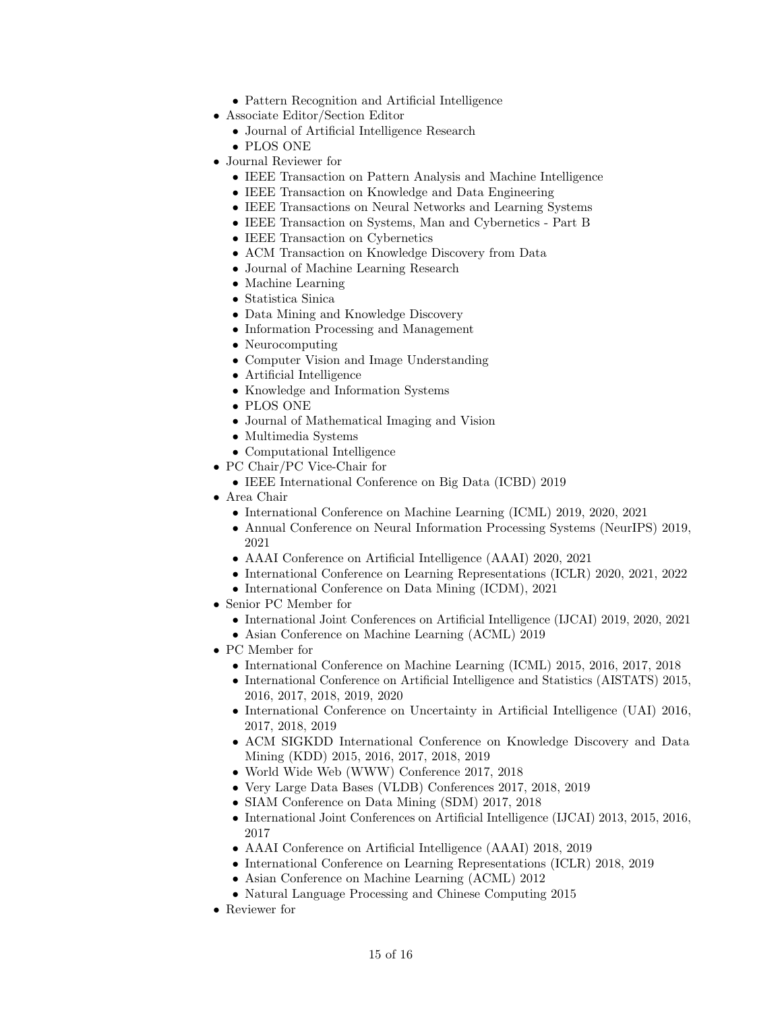- Pattern Recognition and Artificial Intelligence
- Associate Editor/Section Editor
	- Journal of Artificial Intelligence Research
	- PLOS ONE
- Journal Reviewer for
	- IEEE Transaction on Pattern Analysis and Machine Intelligence
	- IEEE Transaction on Knowledge and Data Engineering
	- IEEE Transactions on Neural Networks and Learning Systems
	- IEEE Transaction on Systems, Man and Cybernetics Part B
	- IEEE Transaction on Cybernetics
	- ACM Transaction on Knowledge Discovery from Data
	- Journal of Machine Learning Research
	- Machine Learning
	- Statistica Sinica
	- Data Mining and Knowledge Discovery
	- Information Processing and Management
	- Neurocomputing
	- Computer Vision and Image Understanding
	- Artificial Intelligence
	- Knowledge and Information Systems
	- PLOS ONE
	- Journal of Mathematical Imaging and Vision
	- Multimedia Systems
	- Computational Intelligence
- PC Chair/PC Vice-Chair for
	- IEEE International Conference on Big Data (ICBD) 2019
- Area Chair
	- International Conference on Machine Learning (ICML) 2019, 2020, 2021
	- Annual Conference on Neural Information Processing Systems (NeurIPS) 2019, 2021
	- AAAI Conference on Artificial Intelligence (AAAI) 2020, 2021
	- International Conference on Learning Representations (ICLR) 2020, 2021, 2022
	- International Conference on Data Mining (ICDM), 2021
- Senior PC Member for
	- International Joint Conferences on Artificial Intelligence (IJCAI) 2019, 2020, 2021 • Asian Conference on Machine Learning (ACML) 2019
- PC Member for
	- International Conference on Machine Learning (ICML) 2015, 2016, 2017, 2018
	- International Conference on Artificial Intelligence and Statistics (AISTATS) 2015, 2016, 2017, 2018, 2019, 2020
	- International Conference on Uncertainty in Artificial Intelligence (UAI) 2016, 2017, 2018, 2019
	- ACM SIGKDD International Conference on Knowledge Discovery and Data Mining (KDD) 2015, 2016, 2017, 2018, 2019
	- World Wide Web (WWW) Conference 2017, 2018
	- Very Large Data Bases (VLDB) Conferences 2017, 2018, 2019
	- SIAM Conference on Data Mining (SDM) 2017, 2018
	- International Joint Conferences on Artificial Intelligence (IJCAI) 2013, 2015, 2016, 2017
	- AAAI Conference on Artificial Intelligence (AAAI) 2018, 2019
	- International Conference on Learning Representations (ICLR) 2018, 2019
	- Asian Conference on Machine Learning (ACML) 2012
	- Natural Language Processing and Chinese Computing 2015
- Reviewer for